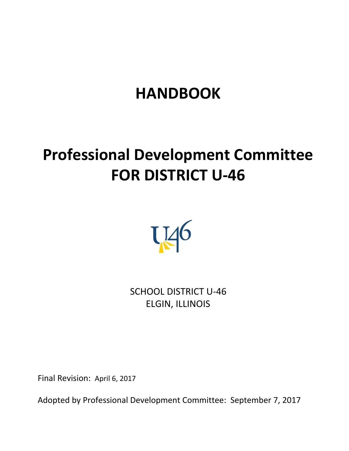# **HANDBOOK**

# **Professional Development Committee FOR DISTRICT U-46**



SCHOOL DISTRICT U-46 ELGIN, ILLINOIS

Final Revision: April 6, 2017

Adopted by Professional Development Committee: September 7, 2017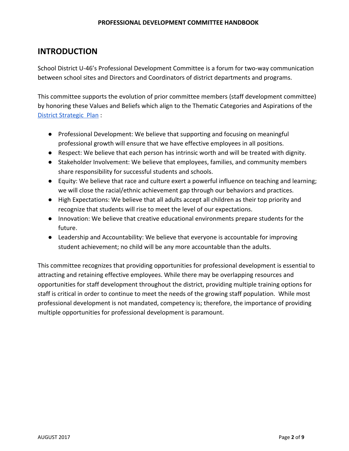## **INTRODUCTION**

School District U-46's Professional Development Committee is a forum for two-way communication between school sites and Directors and Coordinators of district departments and programs.

This committee supports the evolution of prior committee members (staff development committee) by honoring these Values and Beliefs which align to the Thematic Categories and Aspirations of the District [Strategic](http://www.u-46.org/pages/SDU46/About_Us/U-46_Strategic_Plan) Plan :

- Professional Development: We believe that supporting and focusing on meaningful professional growth will ensure that we have effective employees in all positions.
- Respect: We believe that each person has intrinsic worth and will be treated with dignity.
- Stakeholder Involvement: We believe that employees, families, and community members share responsibility for successful students and schools.
- Equity: We believe that race and culture exert a powerful influence on teaching and learning; we will close the racial/ethnic achievement gap through our behaviors and practices.
- High Expectations: We believe that all adults accept all children as their top priority and recognize that students will rise to meet the level of our expectations.
- Innovation: We believe that creative educational environments prepare students for the future.
- Leadership and Accountability: We believe that everyone is accountable for improving student achievement; no child will be any more accountable than the adults.

This committee recognizes that providing opportunities for professional development is essential to attracting and retaining effective employees. While there may be overlapping resources and opportunities for staff development throughout the district, providing multiple training options for staff is critical in order to continue to meet the needs of the growing staff population. While most professional development is not mandated, competency is; therefore, the importance of providing multiple opportunities for professional development is paramount.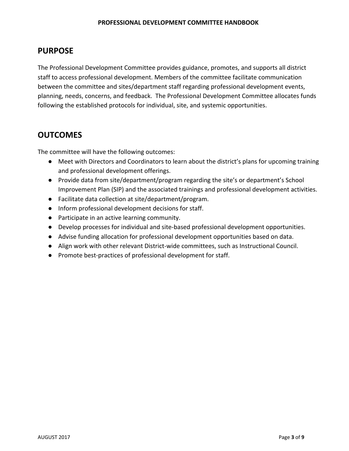## **PURPOSE**

The Professional Development Committee provides guidance, promotes, and supports all district staff to access professional development. Members of the committee facilitate communication between the committee and sites/department staff regarding professional development events, planning, needs, concerns, and feedback. The Professional Development Committee allocates funds following the established protocols for individual, site, and systemic opportunities.

# **OUTCOMES**

The committee will have the following outcomes:

- Meet with Directors and Coordinators to learn about the district's plans for upcoming training and professional development offerings.
- Provide data from site/department/program regarding the site's or department's School Improvement Plan (SIP) and the associated trainings and professional development activities.
- Facilitate data collection at site/department/program.
- Inform professional development decisions for staff.
- Participate in an active learning community.
- Develop processes for individual and site-based professional development opportunities.
- Advise funding allocation for professional development opportunities based on data.
- Align work with other relevant District-wide committees, such as Instructional Council.
- Promote best-practices of professional development for staff.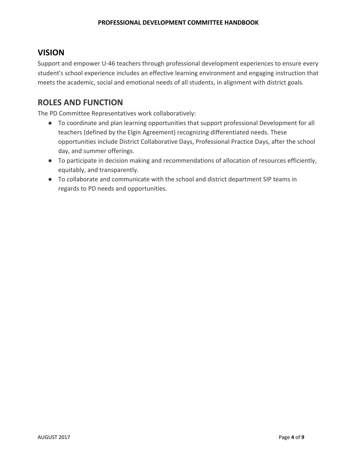## **VISION**

Support and empower U-46 teachers through professional development experiences to ensure every student's school experience includes an effective learning environment and engaging instruction that meets the academic, social and emotional needs of all students, in alignment with district goals.

# **ROLES AND FUNCTION**

The PD Committee Representatives work collaboratively:

- To coordinate and plan learning opportunities that support professional Development for all teachers (defined by the Elgin Agreement) recognizing differentiated needs. These opportunities include District Collaborative Days, Professional Practice Days, after the school day, and summer offerings.
- To participate in decision making and recommendations of allocation of resources efficiently, equitably, and transparently.
- To collaborate and communicate with the school and district department SIP teams in regards to PD needs and opportunities.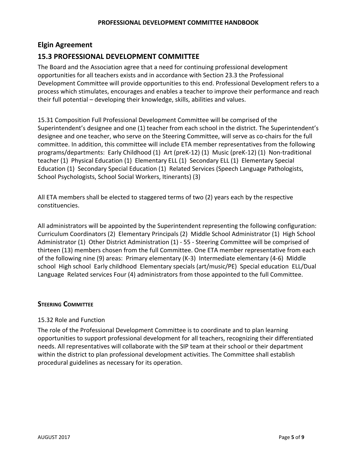## **Elgin Agreement**

## **15.3 PROFESSIONAL DEVELOPMENT COMMITTEE**

The Board and the Association agree that a need for continuing professional development opportunities for all teachers exists and in accordance with Section 23.3 the Professional Development Committee will provide opportunities to this end. Professional Development refers to a process which stimulates, encourages and enables a teacher to improve their performance and reach their full potential – developing their knowledge, skills, abilities and values.

15.31 Composition Full Professional Development Committee will be comprised of the Superintendent's designee and one (1) teacher from each school in the district. The Superintendent's designee and one teacher, who serve on the Steering Committee, will serve as co-chairs for the full committee. In addition, this committee will include ETA member representatives from the following programs/departments: Early Childhood (1) Art (preK-12) (1) Music (preK-12) (1) Non-traditional teacher (1) Physical Education (1) Elementary ELL (1) Secondary ELL (1) Elementary Special Education (1) Secondary Special Education (1) Related Services (Speech Language Pathologists, School Psychologists, School Social Workers, Itinerants) (3)

All ETA members shall be elected to staggered terms of two (2) years each by the respective constituencies.

All administrators will be appointed by the Superintendent representing the following configuration: Curriculum Coordinators (2) Elementary Principals (2) Middle School Administrator (1) High School Administrator (1) Other District Administration (1) - 55 - Steering Committee will be comprised of thirteen (13) members chosen from the full Committee. One ETA member representative from each of the following nine (9) areas: Primary elementary (K-3) Intermediate elementary (4-6) Middle school High school Early childhood Elementary specials (art/music/PE) Special education ELL/Dual Language Related services Four (4) administrators from those appointed to the full Committee.

### **STEERING COMMITTEE**

#### 15.32 Role and Function

The role of the Professional Development Committee is to coordinate and to plan learning opportunities to support professional development for all teachers, recognizing their differentiated needs. All representatives will collaborate with the SIP team at their school or their department within the district to plan professional development activities. The Committee shall establish procedural guidelines as necessary for its operation.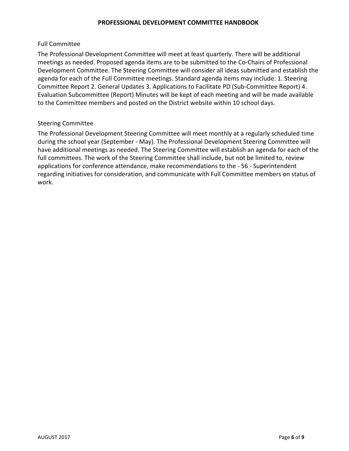#### Full Committee

The Professional Development Committee will meet at least quarterly. There will be additional meetings as needed. Proposed agenda items are to be submitted to the Co-Chairs of Professional Development Committee. The Steering Committee will consider all ideas submitted and establish the agenda for each of the Full Committee meetings. Standard agenda items may include: 1. Steering Committee Report 2. General Updates 3. Applications to Facilitate PD (Sub-Committee Report) 4. Evaluation Subcommittee (Report) Minutes will be kept of each meeting and will be made available to the Committee members and posted on the District website within 10 school days.

### Steering Committee

The Professional Development Steering Committee will meet monthly at a regularly scheduled time during the school year (September - May). The Professional Development Steering Committee will have additional meetings as needed. The Steering Committee will establish an agenda for each of the full committees. The work of the Steering Committee shall include, but not be limited to, review applications for conference attendance, make recommendations to the - 56 - Superintendent regarding initiatives for consideration, and communicate with Full Committee members on status of work.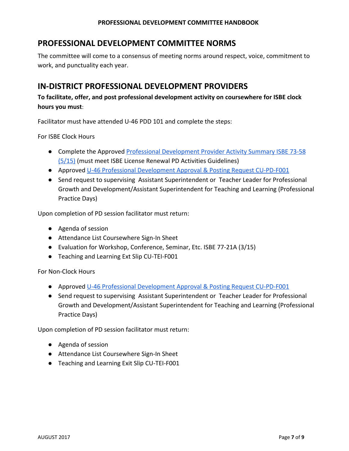## **PROFESSIONAL DEVELOPMENT COMMITTEE NORMS**

The committee will come to a consensus of meeting norms around respect, voice, commitment to work, and punctuality each year.

## **IN-DISTRICT PROFESSIONAL DEVELOPMENT PROVIDERS**

## **To facilitate, offer, and post professional development activity on coursewhere for ISBE clock hours you must**:

Facilitator must have attended U-46 PDD 101 and complete the steps:

For ISBE Clock Hours

- Complete the Approved Professional [Development](https://sites.google.com/a/u-46.org/district-professional-development-committee/u-46-professional-practice-and-development) Provider Activity Summary ISBE 73-58 [\(5/15\)](https://sites.google.com/a/u-46.org/district-professional-development-committee/u-46-professional-practice-and-development) (must meet ISBE License Renewal PD Activities Guidelines)
- Approved U-46 Professional [Development](https://sites.google.com/a/u-46.org/district-professional-development-committee/u-46-professional-practice-and-development) Approval & Posting Request CU-PD-F001
- Send request to supervising Assistant Superintendent or Teacher Leader for Professional Growth and Development/Assistant Superintendent for Teaching and Learning (Professional Practice Days)

Upon completion of PD session facilitator must return:

- Agenda of session
- Attendance List Coursewhere Sign-In Sheet
- Evaluation for Workshop, Conference, Seminar, Etc. ISBE 77-21A (3/15)
- Teaching and Learning Ext Slip CU-TEI-F001

For Non-Clock Hours

- Approved U-46 Professional [Development](https://sites.google.com/a/u-46.org/district-professional-development-committee/u-46-professional-practice-and-development) Approval & Posting Request CU-PD-F001
- Send request to supervising Assistant Superintendent or Teacher Leader for Professional Growth and Development/Assistant Superintendent for Teaching and Learning (Professional Practice Days)

Upon completion of PD session facilitator must return:

- Agenda of session
- Attendance List Coursewhere Sign-In Sheet
- Teaching and Learning Exit Slip CU-TEI-F001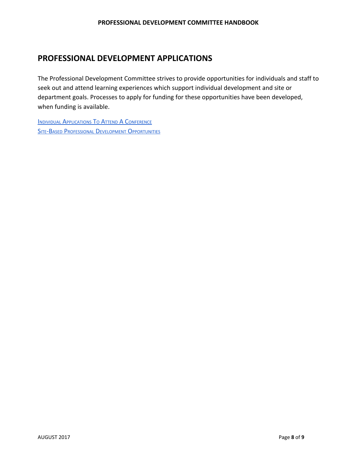## **PROFESSIONAL DEVELOPMENT APPLICATIONS**

The Professional Development Committee strives to provide opportunities for individuals and staff to seek out and attend learning experiences which support individual development and site or department goals. Processes to apply for funding for these opportunities have been developed, when funding is available.

**INDIVIDUAL A[PPLICATIONS](https://sites.google.com/a/u-46.org/district-professional-development-committee/home/conference-attendance-application) TO ATTEND A CONFERENCE SITE-BASED PROFESSIONAL DEVELOPMENT O[PPORTUNITIES](https://sites.google.com/a/u-46.org/district-professional-development-committee/home/site-based-pd-application)**